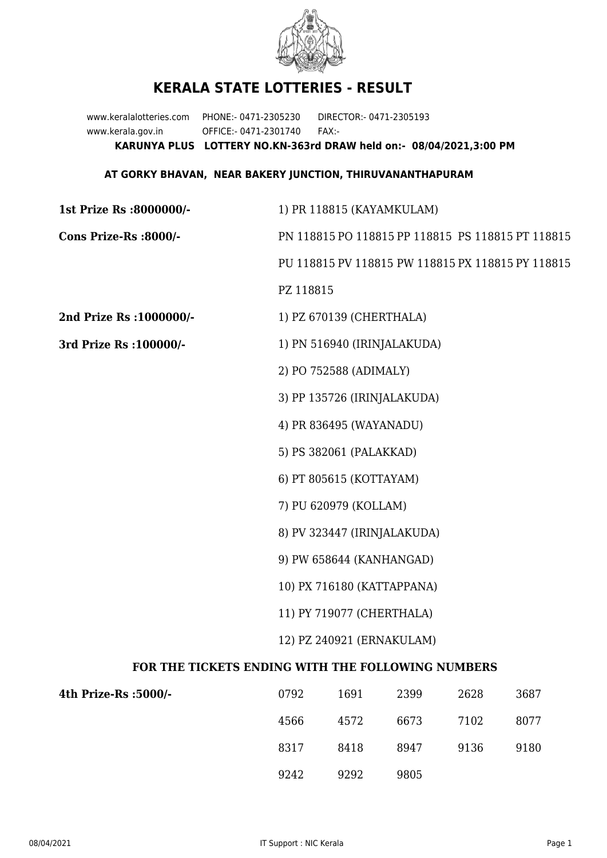

## **KERALA STATE LOTTERIES - RESULT**

www.keralalotteries.com PHONE:- 0471-2305230 DIRECTOR:- 0471-2305193 www.kerala.gov.in OFFICE:- 0471-2301740 FAX:- **KARUNYA PLUS LOTTERY NO.KN-363rd DRAW held on:- 08/04/2021,3:00 PM**

## **AT GORKY BHAVAN, NEAR BAKERY JUNCTION, THIRUVANANTHAPURAM**

| 1st Prize Rs :8000000/-                           | 1) PR 118815 (KAYAMKULAM)                         |      |                                                   |      |      |  |
|---------------------------------------------------|---------------------------------------------------|------|---------------------------------------------------|------|------|--|
| Cons Prize-Rs :8000/-                             | PN 118815 PO 118815 PP 118815 PS 118815 PT 118815 |      |                                                   |      |      |  |
|                                                   |                                                   |      | PU 118815 PV 118815 PW 118815 PX 118815 PY 118815 |      |      |  |
|                                                   | PZ 118815                                         |      |                                                   |      |      |  |
| 2nd Prize Rs : 1000000/-                          | 1) PZ 670139 (CHERTHALA)                          |      |                                                   |      |      |  |
| 3rd Prize Rs : 100000/-                           | 1) PN 516940 (IRINJALAKUDA)                       |      |                                                   |      |      |  |
|                                                   | 2) PO 752588 (ADIMALY)                            |      |                                                   |      |      |  |
|                                                   | 3) PP 135726 (IRINJALAKUDA)                       |      |                                                   |      |      |  |
|                                                   | 4) PR 836495 (WAYANADU)                           |      |                                                   |      |      |  |
|                                                   | 5) PS 382061 (PALAKKAD)                           |      |                                                   |      |      |  |
|                                                   | 6) PT 805615 (KOTTAYAM)                           |      |                                                   |      |      |  |
|                                                   | 7) PU 620979 (KOLLAM)                             |      |                                                   |      |      |  |
|                                                   | 8) PV 323447 (IRINJALAKUDA)                       |      |                                                   |      |      |  |
|                                                   | 9) PW 658644 (KANHANGAD)                          |      |                                                   |      |      |  |
|                                                   | 10) PX 716180 (KATTAPPANA)                        |      |                                                   |      |      |  |
|                                                   | 11) PY 719077 (CHERTHALA)                         |      |                                                   |      |      |  |
|                                                   | 12) PZ 240921 (ERNAKULAM)                         |      |                                                   |      |      |  |
| FOR THE TICKETS ENDING WITH THE FOLLOWING NUMBERS |                                                   |      |                                                   |      |      |  |
| 4th Prize-Rs : 5000/-                             | 0792                                              | 1691 | 2399                                              | 2628 | 3687 |  |

| -/lth Prize-Rs :5000 | 0792 | 1691 | 2399 | 2628 | 3687 |
|----------------------|------|------|------|------|------|
|                      | 4566 | 4572 | 6673 | 7102 | 8077 |
|                      | 8317 | 8418 | 8947 | 9136 | 9180 |
|                      | 9242 | 9292 | 9805 |      |      |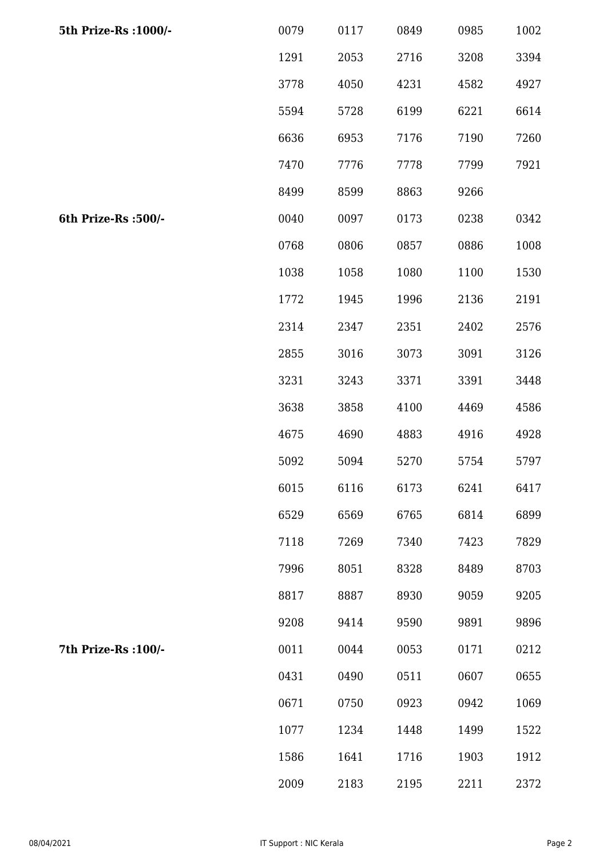| 5th Prize-Rs : 1000/- | 0079 | 0117 | 0849 | 0985 | 1002 |
|-----------------------|------|------|------|------|------|
|                       | 1291 | 2053 | 2716 | 3208 | 3394 |
|                       | 3778 | 4050 | 4231 | 4582 | 4927 |
|                       | 5594 | 5728 | 6199 | 6221 | 6614 |
|                       | 6636 | 6953 | 7176 | 7190 | 7260 |
|                       | 7470 | 7776 | 7778 | 7799 | 7921 |
|                       | 8499 | 8599 | 8863 | 9266 |      |
| 6th Prize-Rs :500/-   | 0040 | 0097 | 0173 | 0238 | 0342 |
|                       | 0768 | 0806 | 0857 | 0886 | 1008 |
|                       | 1038 | 1058 | 1080 | 1100 | 1530 |
|                       | 1772 | 1945 | 1996 | 2136 | 2191 |
|                       | 2314 | 2347 | 2351 | 2402 | 2576 |
|                       | 2855 | 3016 | 3073 | 3091 | 3126 |
|                       | 3231 | 3243 | 3371 | 3391 | 3448 |
|                       | 3638 | 3858 | 4100 | 4469 | 4586 |
|                       | 4675 | 4690 | 4883 | 4916 | 4928 |
|                       | 5092 | 5094 | 5270 | 5754 | 5797 |
|                       | 6015 | 6116 | 6173 | 6241 | 6417 |
|                       | 6529 | 6569 | 6765 | 6814 | 6899 |
|                       | 7118 | 7269 | 7340 | 7423 | 7829 |
|                       | 7996 | 8051 | 8328 | 8489 | 8703 |
|                       | 8817 | 8887 | 8930 | 9059 | 9205 |
|                       | 9208 | 9414 | 9590 | 9891 | 9896 |
| 7th Prize-Rs : 100/-  | 0011 | 0044 | 0053 | 0171 | 0212 |
|                       | 0431 | 0490 | 0511 | 0607 | 0655 |
|                       | 0671 | 0750 | 0923 | 0942 | 1069 |
|                       | 1077 | 1234 | 1448 | 1499 | 1522 |
|                       | 1586 | 1641 | 1716 | 1903 | 1912 |
|                       | 2009 | 2183 | 2195 | 2211 | 2372 |